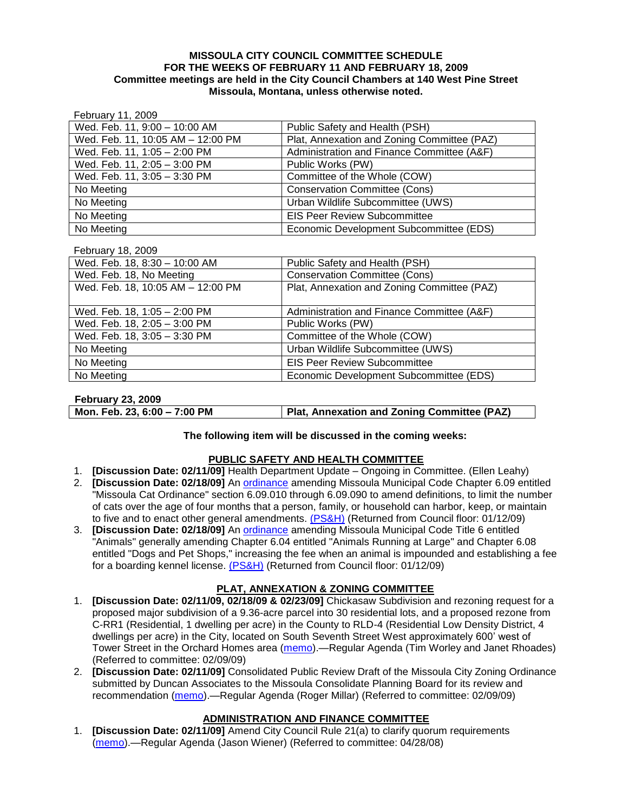### **MISSOULA CITY COUNCIL COMMITTEE SCHEDULE FOR THE WEEKS OF FEBRUARY 11 AND FEBRUARY 18, 2009 Committee meetings are held in the City Council Chambers at 140 West Pine Street Missoula, Montana, unless otherwise noted.**

February 11, 2009

| Wed. Feb. 11, 9:00 - 10:00 AM     | Public Safety and Health (PSH)              |
|-----------------------------------|---------------------------------------------|
| Wed. Feb. 11, 10:05 AM - 12:00 PM | Plat, Annexation and Zoning Committee (PAZ) |
| Wed. Feb. 11, 1:05 - 2:00 PM      | Administration and Finance Committee (A&F)  |
| Wed. Feb. 11, 2:05 - 3:00 PM      | Public Works (PW)                           |
| Wed. Feb. 11, 3:05 - 3:30 PM      | Committee of the Whole (COW)                |
| No Meeting                        | <b>Conservation Committee (Cons)</b>        |
| No Meeting                        | Urban Wildlife Subcommittee (UWS)           |
| No Meeting                        | <b>EIS Peer Review Subcommittee</b>         |
| No Meeting                        | Economic Development Subcommittee (EDS)     |

#### February 18, 2009

| Public Safety and Health (PSH)              |
|---------------------------------------------|
| <b>Conservation Committee (Cons)</b>        |
| Plat, Annexation and Zoning Committee (PAZ) |
|                                             |
| Administration and Finance Committee (A&F)  |
| Public Works (PW)                           |
| Committee of the Whole (COW)                |
| Urban Wildlife Subcommittee (UWS)           |
| <b>EIS Peer Review Subcommittee</b>         |
| Economic Development Subcommittee (EDS)     |
|                                             |

#### **February 23, 2009**

| Mon. Feb. 23, 6:00 - 7:00 PM | Plat, Annexation and Zoning Committee (PAZ) |
|------------------------------|---------------------------------------------|

## **The following item will be discussed in the coming weeks:**

## **PUBLIC SAFETY AND HEALTH COMMITTEE**

- 1. **[Discussion Date: 02/11/09]** Health Department Update Ongoing in Committee. (Ellen Leahy)
- 2. **[Discussion Date: 02/18/09]** An [ordinance](ftp://ftp.ci.missoula.mt.us/Packets/Council/2008/2008-12-15/2008CatOrdinanceAmendment%5B1%5D.pdf) amending Missoula Municipal Code Chapter 6.09 entitled "Missoula Cat Ordinance" section 6.09.010 through 6.09.090 to amend definitions, to limit the number of cats over the age of four months that a person, family, or household can harbor, keep, or maintain to five and to enact other general amendments. [\(PS&H\)](ftp://ftp.ci.missoula.mt.us/Packets/Council/2008/2008-12-15/081210psh.pdf) (Returned from Council floor: 01/12/09)
- 3. **[Discussion Date: 02/18/09]** An [ordinance](ftp://ftp.ci.missoula.mt.us/Packets/Council/2008/2008-12-15/DogOrdinance--PSHrevisions.pdf) amending Missoula Municipal Code Title 6 entitled "Animals" generally amending Chapter 6.04 entitled "Animals Running at Large" and Chapter 6.08 entitled "Dogs and Pet Shops," increasing the fee when an animal is impounded and establishing a fee for a boarding kennel license. [\(PS&H\)](ftp://ftp.ci.missoula.mt.us/Packets/Council/2008/2008-12-15/081210psh.pdf) (Returned from Council floor: 01/12/09)

## **PLAT, ANNEXATION & ZONING COMMITTEE**

- 1. **[Discussion Date: 02/11/09, 02/18/09 & 02/23/09]** Chickasaw Subdivision and rezoning request for a proposed major subdivision of a 9.36-acre parcel into 30 residential lots, and a proposed rezone from C-RR1 (Residential, 1 dwelling per acre) in the County to RLD-4 (Residential Low Density District, 4 dwellings per acre) in the City, located on South Seventh Street West approximately 600' west of Tower Street in the Orchard Homes area [\(memo\)](ftp://ftp.ci.missoula.mt.us/Packets/Council/2009/2009-02-09/Referrals/ChickasawMemo.pdf).—Regular Agenda (Tim Worley and Janet Rhoades) (Referred to committee: 02/09/09)
- 2. **[Discussion Date: 02/11/09]** Consolidated Public Review Draft of the Missoula City Zoning Ordinance submitted by Duncan Associates to the Missoula Consolidate Planning Board for its review and recommendation [\(memo\)](ftp://ftp.ci.missoula.mt.us/Packets/Council/2009/2009-02-09/Referrals/CodeRewritetoPBMemo.pdf).—Regular Agenda (Roger Millar) (Referred to committee: 02/09/09)

## **ADMINISTRATION AND FINANCE COMMITTEE**

1. **[Discussion Date: 02/11/09]** Amend City Council Rule 21(a) to clarify quorum requirements [\(memo\)](ftp://ftp.ci.missoula.mt.us/Packets/Council/2008/2008-04-28/Referrals/CouncilRule21aReferral.pdf).—Regular Agenda (Jason Wiener) (Referred to committee: 04/28/08)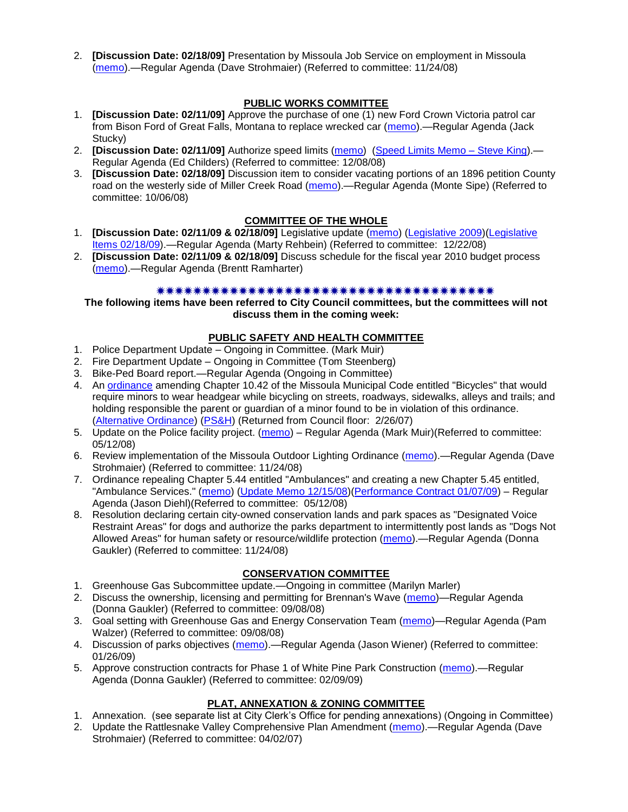2. **[Discussion Date: 02/18/09]** Presentation by Missoula Job Service on employment in Missoula [\(memo\)](ftp://ftp.ci.missoula.mt.us/Packets/Council/2008/2008-11-24/Referrals/Missoula_Job_Service.pdf).—Regular Agenda (Dave Strohmaier) (Referred to committee: 11/24/08)

# **PUBLIC WORKS COMMITTEE**

- 1. **[Discussion Date: 02/11/09]** Approve the purchase of one (1) new Ford Crown Victoria patrol car from Bison Ford of Great Falls, Montana to replace wrecked car [\(memo\)](ftp://ftp.ci.missoula.mt.us/packets/council/2009/2009-02-09/Referrals/WreckedPatrolRplcmntREF.pdf).—Regular Agenda (Jack Stucky)
- 2. **[Discussion Date: 02/11/09]** Authorize speed limits [\(memo\)](ftp://ftp.ci.missoula.mt.us/Packets/Council/2008/2008-12-08/Referrals/ReferralAuthorizeSpeedLimits.pdf) [\(Speed Limits Memo –](ftp://ftp.ci.missoula.mt.us/packets/council/2008/2008-12-15/Referrals/SpeedLimitMemo.pdf) Steve King).— Regular Agenda (Ed Childers) (Referred to committee: 12/08/08)
- 3. **[Discussion Date: 02/18/09]** Discussion item to consider vacating portions of an 1896 petition County road on the westerly side of Miller Creek Road [\(memo\)](ftp://ftp.ci.missoula.mt.us/packets/council/2008/2008-10-06/Referrals/MllrCkROWVacREF.pdf).—Regular Agenda (Monte Sipe) (Referred to committee: 10/06/08)

## **COMMITTEE OF THE WHOLE**

- 1. **[Discussion Date: 02/11/09 & 02/18/09]** Legislative update [\(memo\)](ftp://ftp.ci.missoula.mt.us/Packets/Council/2008/2008-12-22/Referrals/LegislativeUpdate.pdf) [\(Legislative 2009\)](https://missoulagov.sharepointsite.net/Public/Public.aspx)[\(Legislative](ftp://ftp.ci.missoula.mt.us/Packets/Council/2009/2009-02-09/COWFeb18.pdf)  [Items 02/18/09\)](ftp://ftp.ci.missoula.mt.us/Packets/Council/2009/2009-02-09/COWFeb18.pdf).—Regular Agenda (Marty Rehbein) (Referred to committee: 12/22/08)
- 2. **[Discussion Date: 02/11/09 & 02/18/09]** Discuss schedule for the fiscal year 2010 budget process [\(memo\)](ftp://ftp.ci.missoula.mt.us/Packets/Council/2009/2009-02-09/Referrals/FY10BudgetProcess.pdf).—Regular Agenda (Brentt Ramharter)

### 

**The following items have been referred to City Council committees, but the committees will not discuss them in the coming week:**

## **PUBLIC SAFETY AND HEALTH COMMITTEE**

- 1. Police Department Update Ongoing in Committee. (Mark Muir)
- 2. Fire Department Update Ongoing in Committee (Tom Steenberg)
- 3. Bike-Ped Board report.—Regular Agenda (Ongoing in Committee)
- 4. An [ordinance](ftp://ftp.ci.missoula.mt.us/Packets/Council/2007/2007-02-05/07-01-31 Helmet and bikes psh.htm) amending Chapter 10.42 of the Missoula Municipal Code entitled "Bicycles" that would require minors to wear headgear while bicycling on streets, roadways, sidewalks, alleys and trails; and holding responsible the parent or guardian of a minor found to be in violation of this ordinance. [\(Alternative Ordinance\)](ftp://ftp.ci.missoula.mt.us/Packets/Council/2007/2007-02-26/07-02-19_Alternative_Helmet_and_bikes.htm) [\(PS&H\)](ftp://ftp.ci.missoula.mt.us/Packets/Council/2007/2007-02-05/070131psh.pdf) (Returned from Council floor: 2/26/07)
- 5. Update on the Police facility project. [\(memo\)](ftp://ftp.ci.missoula.mt.us/Packets/Council/2008/2008-05-12/Referrals/Buildingpresentationreferral.htm) Regular Agenda (Mark Muir)(Referred to committee: 05/12/08)
- 6. Review implementation of the Missoula Outdoor Lighting Ordinance [\(memo\)](ftp://ftp.ci.missoula.mt.us/Packets/Council/2008/2008-11-24/Referrals/Outdoor_Lighting_Ordinance_Review.pdf).—Regular Agenda (Dave Strohmaier) (Referred to committee: 11/24/08)
- 7. Ordinance repealing Chapter 5.44 entitled "Ambulances" and creating a new Chapter 5.45 entitled, "Ambulance Services." [\(memo\)](ftp://ftp.ci.missoula.mt.us/Packets/Council/2008/2008-05-12/Referrals/080508AmbulanceOrdinanceReferral.htm) [\(Update Memo 12/15/08\)](ftp://ftp.ci.missoula.mt.us/Packets/Council/2008/2008-12-15/081212AmbulanceOrdinanceReferralUpdated.pdf)[\(Performance Contract 01/07/09\)](ftp://ftp.ci.missoula.mt.us/Packets/Council/2009/2009-01-12/MESIPerformanceContract090107.pdf) – Regular Agenda (Jason Diehl)(Referred to committee: 05/12/08)
- 8. Resolution declaring certain city-owned conservation lands and park spaces as "Designated Voice Restraint Areas" for dogs and authorize the parks department to intermittently post lands as "Dogs Not Allowed Areas" for human safety or resource/wildlife protection [\(memo\)](ftp://ftp.ci.missoula.mt.us/Packets/Council/2008/2008-11-24/Referrals/VoiceRestraintReferral.pdf).—Regular Agenda (Donna Gaukler) (Referred to committee: 11/24/08)

## **CONSERVATION COMMITTEE**

- 1. Greenhouse Gas Subcommittee update.—Ongoing in committee (Marilyn Marler)
- 2. Discuss the ownership, licensing and permitting for Brennan's Wave [\(memo\)](ftp://ftp.ci.missoula.mt.us/Packets/Council/2008/2008-09-08/Referrals/ReferralBrennansWaveLicensing.pdf)—Regular Agenda (Donna Gaukler) (Referred to committee: 09/08/08)
- 3. Goal setting with Greenhouse Gas and Energy Conservation Team [\(memo\)](ftp://ftp.ci.missoula.mt.us/Packets/Council/2008/2008-09-08/Referrals/GGECTdialog.pdf)—Regular Agenda (Pam Walzer) (Referred to committee: 09/08/08)
- 4. Discussion of parks objectives [\(memo\)](ftp://ftp.ci.missoula.mt.us/Packets/Council/2009/2009-01-26/Referrals/parks_projects_referral.pdf).—Regular Agenda (Jason Wiener) (Referred to committee: 01/26/09)
- 5. Approve construction contracts for Phase 1 of White Pine Park Construction [\(memo\)](ftp://ftp.ci.missoula.mt.us/Packets/Council/2009/2009-02-09/Referrals/ReferralWhitePinePark/(2/).pdf).—Regular Agenda (Donna Gaukler) (Referred to committee: 02/09/09)

## **PLAT, ANNEXATION & ZONING COMMITTEE**

- 1. Annexation. (see separate list at City Clerk's Office for pending annexations) (Ongoing in Committee)
- 2. Update the Rattlesnake Valley Comprehensive Plan Amendment [\(memo\)](ftp://ftp.ci.missoula.mt.us/Packets/Council/2007/2007-04-02/Referrals/Rattlesnake_Plan_Update_referral.pdf).—Regular Agenda (Dave Strohmaier) (Referred to committee: 04/02/07)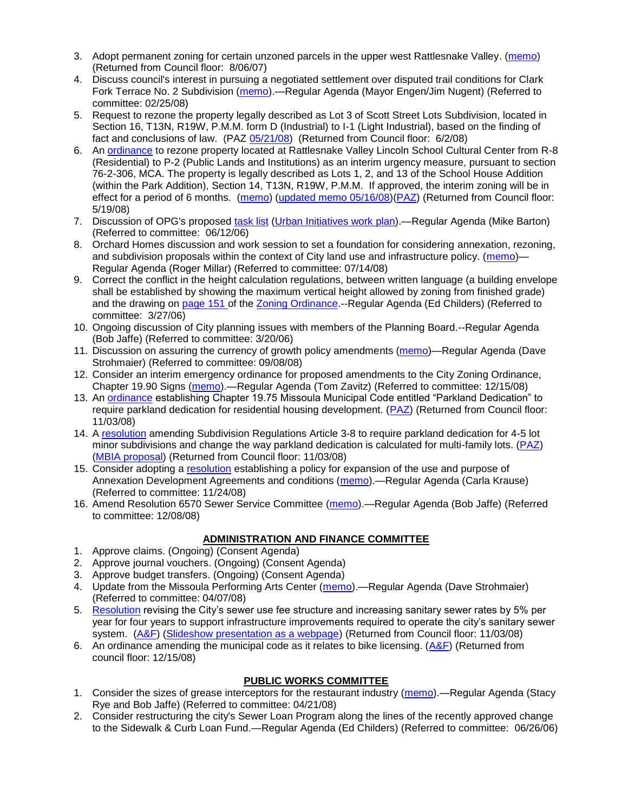- 3. Adopt permanent zoning for certain unzoned parcels in the upper west Rattlesnake Valley. [\(memo\)](ftp://ftp.ci.missoula.mt.us/Packets/Council/2007/2007-03-26/Referrals/P-1_zoning_ref.htm) (Returned from Council floor: 8/06/07)
- 4. Discuss council's interest in pursuing a negotiated settlement over disputed trail conditions for Clark Fork Terrace No. 2 Subdivision [\(memo\)](ftp://ftp.ci.missoula.mt.us/Packets/Council/2008/2008-02-25/Referrals/Clark_Fork_Terrace_2.pdf).—Regular Agenda (Mayor Engen/Jim Nugent) (Referred to committee: 02/25/08)
- 5. Request to rezone the property legally described as Lot 3 of Scott Street Lots Subdivision, located in Section 16, T13N, R19W, P.M.M. form D (Industrial) to I-1 (Light Industrial), based on the finding of fact and conclusions of law. (PAZ [05/21/08\)](ftp://ftp.ci.missoula.mt.us/Packets/Council/2008/2008-06-02/080521paz.pdf) (Returned from Council floor: 6/2/08)
- 6. An [ordinance](ftp://ftp.ci.missoula.mt.us/Packets/Council/2008/2008-05-19/Public_Hearings/LincolnSchoolInterimP-2ord.pdf) to rezone property located at Rattlesnake Valley Lincoln School Cultural Center from R-8 (Residential) to P-2 (Public Lands and Institutions) as an interim urgency measure, pursuant to section 76-2-306, MCA. The property is legally described as Lots 1, 2, and 13 of the School House Addition (within the Park Addition), Section 14, T13N, R19W, P.M.M. If approved, the interim zoning will be in effect for a period of 6 months. [\(memo\)](ftp://ftp.ci.missoula.mt.us/Packets/Council/2008/2008-05-19/Public_Hearings/LincolnSchoolInterimPermZonMemo.pdf) [\(updated memo 05/16/08\)](ftp://ftp.ci.missoula.mt.us/Packets/Council/2008/2008-05-19/Public_Hearings/LincolnSchoolInterimPermZonMemo.pdf)[\(PAZ\)](ftp://ftp.ci.missoula.mt.us/Packets/Council/2008/2008-05-12/080507paz.htm) (Returned from Council floor: 5/19/08)
- 7. Discussion of OPG's proposed [task list](ftp://ftp.ci.missoula.mt.us/Packets/Council/2008/2008-07-07/UITaskList.pdf) [\(Urban Initiatives work plan\)](ftp://ftp.ci.missoula.mt.us/Packets/Council/2006/2006-06-12/Referrals/Urban_Init.htm).—Regular Agenda (Mike Barton) (Referred to committee: 06/12/06)
- 8. Orchard Homes discussion and work session to set a foundation for considering annexation, rezoning, and subdivision proposals within the context of City land use and infrastructure policy. [\(memo\)](ftp://ftp.ci.missoula.mt.us/Packets/Council/2008/2008-07-14/Referrals/OrchardHomesDiscMemo.pdf)— Regular Agenda (Roger Millar) (Referred to committee: 07/14/08)
- 9. Correct the conflict in the height calculation regulations, between written language (a building envelope shall be established by showing the maximum vertical height allowed by zoning from finished grade) and the drawing on [page 151 o](ftp://www.co.missoula.mt.us/opg2/Documents/CurrentRegulations/CityZoningTitle19/CH19.67Hillside.pdf)f the [Zoning Ordinance.](ftp://www.co.missoula.mt.us/opg2/Documents/CurrentRegulations/CityZoningTitle19/CityOrdinanceLP.htm)--Regular Agenda (Ed Childers) (Referred to committee: 3/27/06)
- 10. Ongoing discussion of City planning issues with members of the Planning Board.--Regular Agenda (Bob Jaffe) (Referred to committee: 3/20/06)
- 11. Discussion on assuring the currency of growth policy amendments [\(memo\)](ftp://ftp.ci.missoula.mt.us/Packets/Council/2008/2008-09-08/Referrals/Plan_updates.pdf)—Regular Agenda (Dave Strohmaier) (Referred to committee: 09/08/08)
- 12. Consider an interim emergency ordinance for proposed amendments to the City Zoning Ordinance, Chapter 19.90 Signs [\(memo\)](ftp://ftp.ci.missoula.mt.us/Packets/Council/2008/2008-12-15/Referrals/ElectronicSignOrdinanceMemo.pdf).—Regular Agenda (Tom Zavitz) (Referred to committee: 12/15/08)
- 13. An [ordinance](ftp://ftp.ci.missoula.mt.us/Packets/Council/2008/2008-09-22/Referrals/OrdinanceChap19-75.pdf) establishing Chapter 19.75 Missoula Municipal Code entitled "Parkland Dedication" to require parkland dedication for residential housing development. [\(PAZ\)](ftp://ftp.ci.missoula.mt.us/Packets/Council/2008/2008-10-06/080924paz.pdf) (Returned from Council floor: 11/03/08)
- 14. A [resolution](ftp://ftp.ci.missoula.mt.us/Packets/Council/2008/2008-10-06/parkres.pdf) amending Subdivision Regulations Article 3-8 to require parkland dedication for 4-5 lot minor subdivisions and change the way parkland dedication is calculated for multi-family lots. [\(PAZ\)](ftp://ftp.ci.missoula.mt.us/Packets/Council/2008/2008-10-06/080924paz.pdf) [\(MBIA proposal\)](ftp://ftp.ci.missoula.mt.us/Packets/Council/2009/2009-01-12/Referrals/MBIA_Parkland_Proposal.pdf) (Returned from Council floor: 11/03/08)
- 15. Consider adopting a [resolution](ftp://ftp.ci.missoula.mt.us/Packets/Council/2008/2008-12-08/RESOLUTION-DevelopmentAgreements.pdf) establishing a policy for expansion of the use and purpose of Annexation Development Agreements and conditions [\(memo\)](ftp://ftp.ci.missoula.mt.us/Packets/Council/2008/2008-11-24/Referrals/REFERRAL-DevelopmentAgreements.pdf).—Regular Agenda (Carla Krause) (Referred to committee: 11/24/08)
- 16. Amend Resolution 6570 Sewer Service Committee [\(memo\)](ftp://ftp.ci.missoula.mt.us/Packets/Council/2008/2008-12-08/Referrals/SewerServiceCommittee.pdf).—Regular Agenda (Bob Jaffe) (Referred to committee: 12/08/08)

## **ADMINISTRATION AND FINANCE COMMITTEE**

- 1. Approve claims. (Ongoing) (Consent Agenda)
- 2. Approve journal vouchers. (Ongoing) (Consent Agenda)
- 3. Approve budget transfers. (Ongoing) (Consent Agenda)
- 4. Update from the Missoula Performing Arts Center [\(memo\)](ftp://ftp.ci.missoula.mt.us/Packets/Council/2008/2008-04-07/Referrals/Performing_Arts_Center.pdf).—Regular Agenda (Dave Strohmaier) (Referred to committee: 04/07/08)
- 5. [Resolution](ftp://ftp.ci.missoula.mt.us/Packets/Council/2008/2008-09-22/referrals/Sewerrateresolution.pdf) revising the City's sewer use fee structure and increasing sanitary sewer rates by 5% per year for four years to support infrastructure improvements required to operate the city's sanitary sewer system. [\(A&F\)](ftp://ftp.ci.missoula.mt.us/Packets/Council/2008/2008-10-06/081001af.pdf) [\(Slideshow presentation as a webpage\)](ftp://ftp.ci.missoula.mt.us/Packets/Council/2008/2008-11-03/2008-11-03SewerUserRateIncrease_files/frame.htm) (Returned from Council floor: 11/03/08)
- 6. An ordinance amending the municipal code as it relates to bike licensing.  $(A&F)$  (Returned from council floor: 12/15/08)

# **PUBLIC WORKS COMMITTEE**

- 1. Consider the sizes of grease interceptors for the restaurant industry [\(memo\)](ftp://ftp.ci.missoula.mt.us/Packets/Council/2008/2008-04-21/Referrals/Industrial_waste_restaurants.pdf).—Regular Agenda (Stacy Rye and Bob Jaffe) (Referred to committee: 04/21/08)
- 2. Consider restructuring the city's Sewer Loan Program along the lines of the recently approved change to the Sidewalk & Curb Loan Fund.—Regular Agenda (Ed Childers) (Referred to committee: 06/26/06)